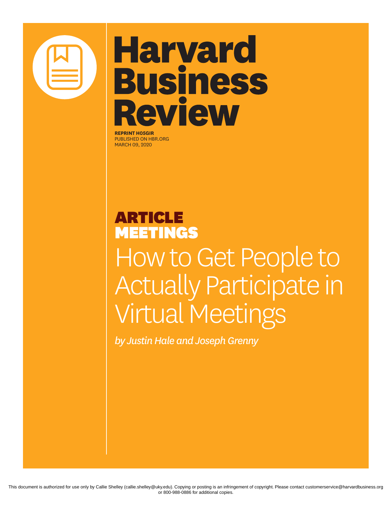

# **Harvard Business Review**

**REPRINT H05GIR** PUBLISHED ON HBR.ORG MARCH 09, 2020

# ARTICLE MEETINGS How to Get People to Actually Participate in Virtual Meetings

*by Justin Hale and Joseph Grenny*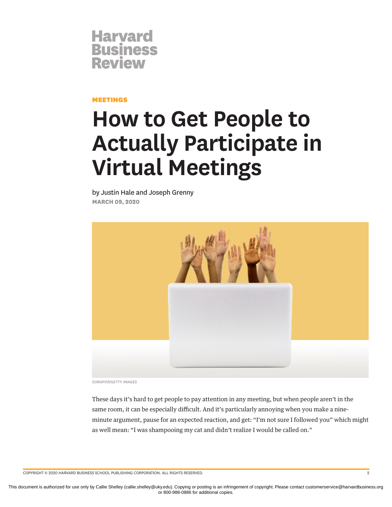

## MEETINGS

# **How to Get People to Actually Participate in Virtual Meetings**

by Justin Hale and Joseph Grenny **MARCH 09, 2020**



*SORAPOP/GETTY IMAGES*

These days it's hard to get people to pay attention in any meeting, but when people aren't in the same room, it can be especially difficult. And it's particularly annoying when you make a nineminute argument, pause for an expected reaction, and get: "I'm not sure I followed you" which might as well mean: "I was shampooing my cat and didn't realize I would be called on."

COPYRIGHT © 2020 HARVARD BUSINESS SCHOOL PUBLISHING CORPORATION. ALL RIGHTS RESERVED. 2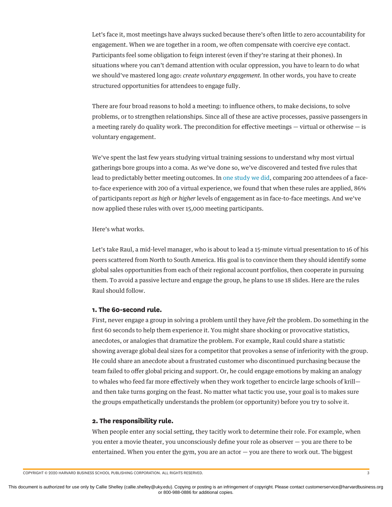Let's face it, most meetings have always sucked because there's often little to zero accountability for engagement. When we are together in a room, we often compensate with coercive eye contact. Participants feel some obligation to feign interest (even if they're staring at their phones). In situations where you can't demand attention with ocular oppression, you have to learn to do what we should've mastered long ago: *create voluntary engagement.* In other words, you have to create structured opportunities for attendees to engage fully.

There are four broad reasons to hold a meeting: to influence others, to make decisions, to solve problems, or to strengthen relationships. Since all of these are active processes, passive passengers in a meeting rarely do quality work. The precondition for effective meetings — virtual or otherwise — is voluntary engagement.

We've spent the last few years studying virtual training sessions to understand why most virtual gatherings bore groups into a coma. As we've done so, we've discovered and tested five rules that lead to predictably better meeting outcomes. In [one study we did](https://p.widencdn.net/bazd20/Live-Online-Position-Paper), comparing 200 attendees of a faceto-face experience with 200 of a virtual experience, we found that when these rules are applied, 86% of participants report *as high or higher* levels of engagement as in face-to-face meetings. And we've now applied these rules with over 15,000 meeting participants.

Here's what works.

Let's take Raul, a mid-level manager, who is about to lead a 15-minute virtual presentation to 16 of his peers scattered from North to South America. His goal is to convince them they should identify some global sales opportunities from each of their regional account portfolios, then cooperate in pursuing them. To avoid a passive lecture and engage the group, he plans to use 18 slides. Here are the rules Raul should follow.

# **1. The 60-second rule.**

First, never engage a group in solving a problem until they have *felt* the problem. Do something in the first 60 seconds to help them experience it. You might share shocking or provocative statistics, anecdotes, or analogies that dramatize the problem. For example, Raul could share a statistic showing average global deal sizes for a competitor that provokes a sense of inferiority with the group. He could share an anecdote about a frustrated customer who discontinued purchasing because the team failed to offer global pricing and support. Or, he could engage emotions by making an analogy to whales who feed far more effectively when they work together to encircle large schools of krill and then take turns gorging on the feast. No matter what tactic you use, your goal is to makes sure the groups empathetically understands the problem (or opportunity) before you try to solve it.

#### **2. The responsibility rule.**

When people enter any social setting, they tacitly work to determine their role. For example, when you enter a movie theater, you unconsciously define your role as observer  $-$  you are there to be entertained. When you enter the gym, you are an actor — you are there to work out. The biggest

COPYRIGHT © 2020 HARVARD BUSINESS SCHOOL PUBLISHING CORPORATION. ALL RIGHTS RESERVED. 3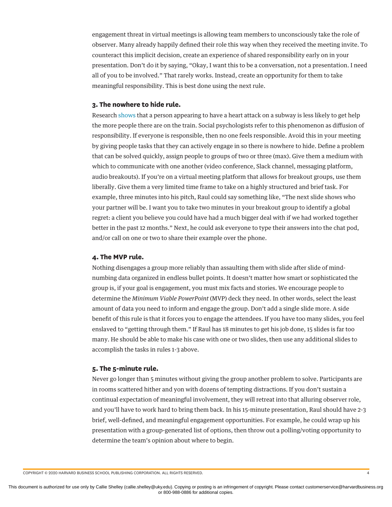engagement threat in virtual meetings is allowing team members to unconsciously take the role of observer. Many already happily defined their role this way when they received the meeting invite. To counteract this implicit decision, create an experience of shared responsibility early on in your presentation. Don't do it by saying, "Okay, I want this to be a conversation, not a presentation. I need all of you to be involved." That rarely works. Instead, create an opportunity for them to take meaningful responsibility. This is best done using the next rule.

### **3. The nowhere to hide rule.**

Research [shows](http://www.psychwiki.com/wiki/Darley,_J._M.,_%26_Latan%C3%A9,_B._(1968)._Bystander_intervention_in_emergencies:_Diffusion_of_responsibility._Journal_of_Personality_and_Social_Psychology,_8,_377-383.) that a person appearing to have a heart attack on a subway is less likely to get help the more people there are on the train. Social psychologists refer to this phenomenon as diffusion of responsibility. If everyone is responsible, then no one feels responsible. Avoid this in your meeting by giving people tasks that they can actively engage in so there is nowhere to hide. Define a problem that can be solved quickly, assign people to groups of two or three (max). Give them a medium with which to communicate with one another (video conference, Slack channel, messaging platform, audio breakouts). If you're on a virtual meeting platform that allows for breakout groups, use them liberally. Give them a very limited time frame to take on a highly structured and brief task. For example, three minutes into his pitch, Raul could say something like, "The next slide shows who your partner will be. I want you to take two minutes in your breakout group to identify a global regret: a client you believe you could have had a much bigger deal with if we had worked together better in the past 12 months." Next, he could ask everyone to type their answers into the chat pod, and/or call on one or two to share their example over the phone.

### **4. The MVP rule.**

Nothing disengages a group more reliably than assaulting them with slide after slide of mindnumbing data organized in endless bullet points. It doesn't matter how smart or sophisticated the group is, if your goal is engagement, you must mix facts and stories. We encourage people to determine the *Minimum Viable PowerPoint* (MVP) deck they need. In other words, select the least amount of data you need to inform and engage the group. Don't add a single slide more. A side benefit of this rule is that it forces you to engage the attendees. If you have too many slides, you feel enslaved to "getting through them." If Raul has 18 minutes to get his job done, 15 slides is far too many. He should be able to make his case with one or two slides, then use any additional slides to accomplish the tasks in rules 1-3 above.

#### **5. The 5-minute rule.**

Never go longer than 5 minutes without giving the group another problem to solve. Participants are in rooms scattered hither and yon with dozens of tempting distractions. If you don't sustain a continual expectation of meaningful involvement, they will retreat into that alluring observer role, and you'll have to work hard to bring them back. In his 15-minute presentation, Raul should have 2-3 brief, well-defined, and meaningful engagement opportunities. For example, he could wrap up his presentation with a group-generated list of options, then throw out a polling/voting opportunity to determine the team's opinion about where to begin.